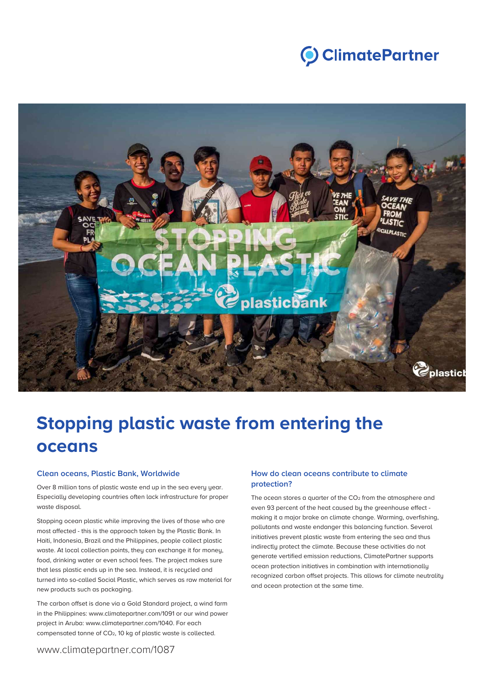



# **Stopping plastic waste from entering the oceans**

#### **Clean oceans, Plastic Bank, Worldwide**

Over 8 million tons of plastic waste end up in the sea every year. Especially developing countries often lack infrastructure for proper waste disposal.

Stopping ocean plastic while improving the lives of those who are most affected - this is the approach taken by the Plastic Bank. In Haiti, Indonesia, Brazil and the Philippines, people collect plastic waste. At local collection points, they can exchange it for money, food, drinking water or even school fees. The project makes sure that less plastic ends up in the sea. Instead, it is recycled and turned into so-called Social Plastic, which serves as raw material for new products such as packaging.

The carbon offset is done via a Gold Standard project, a wind farm in the Philippines: www.climatepartner.com/1091 or our wind power project in Aruba: www.climatepartner.com/1040. For each compensated tonne of CO2, 10 kg of plastic waste is collected.

## **How do clean oceans contribute to climate protection?**

The ocean stores a quarter of the CO<sub>2</sub> from the atmosphere and even 93 percent of the heat caused by the greenhouse effect making it a major brake on climate change. Warming, overfishing, pollutants and waste endanger this balancing function. Several initiatives prevent plastic waste from entering the sea and thus indirectly protect the climate. Because these activities do not generate vertified emission reductions, ClimatePartner supports ocean protection initiatives in combination with internationally recognized carbon offset projects. This allows for climate neutrality and ocean protection at the same time.